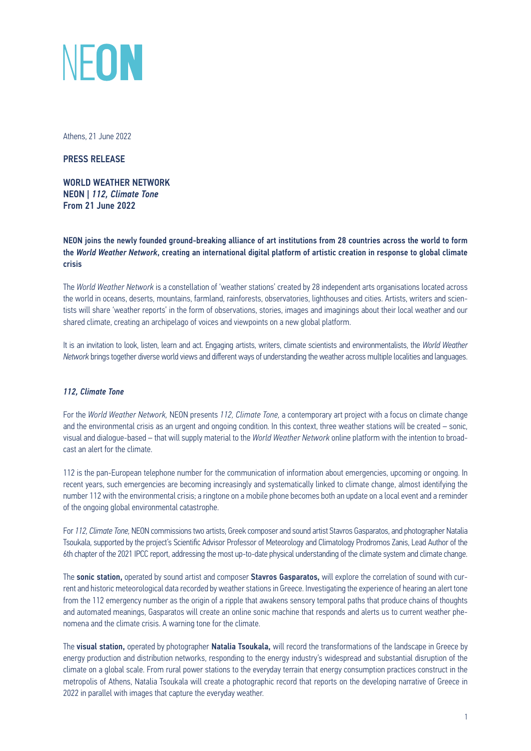

Athens, 21 June 2022

PRESS RELEASE

WORLD WEATHER NETWORK NEON | *112, Climate Tone*  From 21 June 2022

NEON joins the newly founded ground-breaking alliance of art institutions from 28 countries across the world to form the *World Weather Network*, creating an international digital platform of artistic creation in response to global climate crisis

The *World Weather Network* is a constellation of 'weather stations' created by 28 independent arts organisations located across the world in oceans, deserts, mountains, farmland, rainforests, observatories, lighthouses and cities. Artists, writers and scientists will share 'weather reports' in the form of observations, stories, images and imaginings about their local weather and our shared climate, creating an archipelago of voices and viewpoints on a new global platform.

It is an invitation to look, listen, learn and act. Engaging artists, writers, climate scientists and environmentalists, the *World Weather Network* brings together diverse world views and different ways of understanding the weather across multiple localities and languages.

## *112, Climate Tone*

For the *World Weather Network,* NEON presents *112, Climate Tone,* a contemporary art project with a focus on climate change and the environmental crisis as an urgent and ongoing condition. In this context, three weather stations will be created – sonic, visual and dialogue-based – that will supply material to the *World Weather Network* online platform with the intention to broadcast an alert for the climate.

112 is the pan-European telephone number for the communication of information about emergencies, upcoming or ongoing. In recent years, such emergencies are becoming increasingly and systematically linked to climate change, almost identifying the number 112 with the environmental crisis; a ringtone on a mobile phone becomes both an update on a local event and a reminder of the ongoing global environmental catastrophe.

For *112, Climate Tone,* NEON commissions two artists, Greek composer and sound artist Stavros Gasparatos, and photographer Natalia Tsoukala, supported by the project's Scientific Advisor Professor of Meteorology and Climatology Prodromos Zanis, Lead Author of the 6th chapter of the 2021 IPCC report, addressing the most up-to-date physical understanding of the climate system and climate change.

The sonic station, operated by sound artist and composer Stavros Gasparatos, will explore the correlation of sound with current and historic meteorological data recorded by weather stations in Greece. Investigating the experience of hearing an alert tone from the 112 emergency number as the origin of a ripple that awakens sensory temporal paths that produce chains of thoughts and automated meanings, Gasparatos will create an online sonic machine that responds and alerts us to current weather phenomena and the climate crisis. A warning tone for the climate.

The visual station, operated by photographer Natalia Tsoukala, will record the transformations of the landscape in Greece by energy production and distribution networks, responding to the energy industry's widespread and substantial disruption of the climate on a global scale. From rural power stations to the everyday terrain that energy consumption practices construct in the metropolis of Athens, Natalia Tsoukala will create a photographic record that reports on the developing narrative of Greece in 2022 in parallel with images that capture the everyday weather.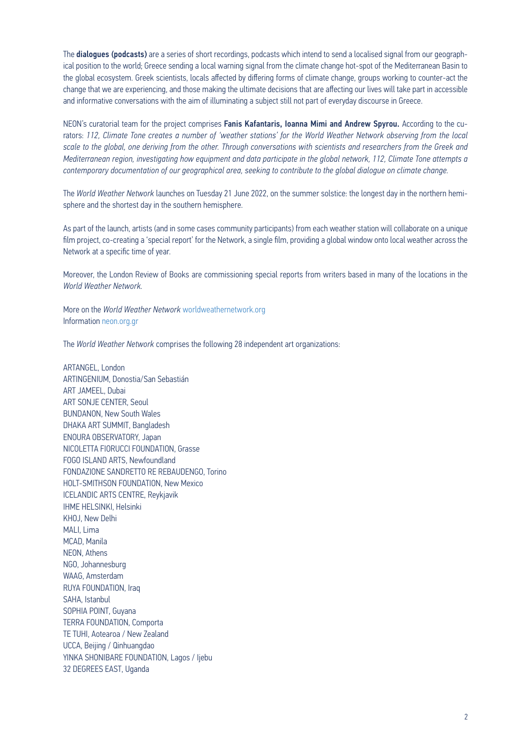The **dialogues (podcasts)** are a series of short recordings, podcasts which intend to send a localised signal from our geographical position to the world; Greece sending a local warning signal from the climate change hot-spot of the Mediterranean Basin to the global ecosystem. Greek scientists, locals affected by differing forms of climate change, groups working to counter-act the change that we are experiencing, and those making the ultimate decisions that are affecting our lives will take part in accessible and informative conversations with the aim of illuminating a subject still not part of everyday discourse in Greece.

NEON's curatorial team for the project comprises Fanis Kafantaris, Ioanna Mimi and Andrew Spyrou. According to the curators: *112, Climate Tone creates a number of 'weather stations' for the World Weather Network observing from the local scale to the global, one deriving from the other. Through conversations with scientists and researchers from the Greek and Mediterranean region, investigating how equipment and data participate in the global network, 112, Climate Tone attempts a contemporary documentation of our geographical area, seeking to contribute to the global dialogue on climate change.* 

The *World Weather Network* launches on Tuesday 21 June 2022, on the summer solstice: the longest day in the northern hemisphere and the shortest day in the southern hemisphere.

As part of the launch, artists (and in some cases community participants) from each weather station will collaborate on a unique film project, co-creating a 'special report' for the Network, a single film, providing a global window onto local weather across the Network at a specific time of year.

Moreover, the London Review of Books are commissioning special reports from writers based in many of the locations in the *World Weather Network.*

More on the *World Weather Network* [worldweathernetwork.org](http://worldweathernetwork.org/) Information [neon.org.gr](https://neon.org.gr)

The *World Weather Network* comprises the following 28 independent art organizations:

ARTANGEL, London ARTINGENIUM, Donostia/San Sebastián ART JAMEEL, Dubai ART SONJE CENTER, Seoul BUNDANON, New South Wales DHAKA ART SUMMIT, Bangladesh ENOURA OBSERVATORY, Japan NICOLETTA FIORUCCI FOUNDATION, Grasse FOGO ISLAND ARTS, Newfoundland FONDAZIONE SANDRETTO RE REBAUDENGO, Torino HOLT-SMITHSON FOUNDATION, New Mexico ICELANDIC ARTS CENTRE, Reykjavik IHME HELSINKI, Helsinki KHOJ, New Delhi MALI, Lima MCAD, Manila NEON, Athens NGO, Johannesburg WAAG, Amsterdam RUYA FOUNDATION, Iraq SAHA, Istanbul SOPHIA POINT, Guyana TERRA FOUNDATION, Comporta TE TUHI, Aotearoa / New Zealand UCCA, Beijing / Qinhuangdao YINKA SHONIBARE FOUNDATION, Lagos / Ijebu 32 DEGREES EAST, Uganda